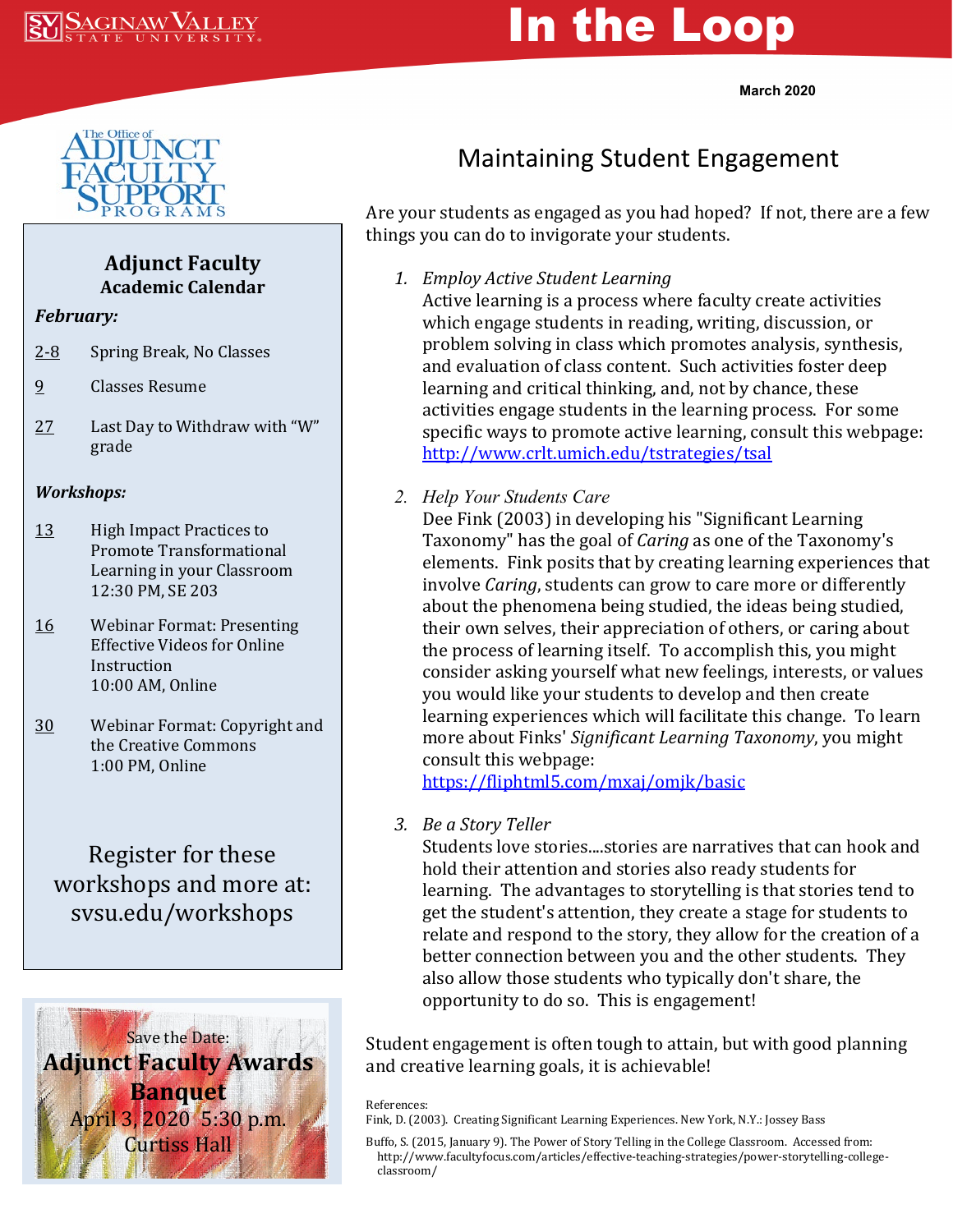

# In the Loop

**March 2020**



### **Adjunct Faculty Academic Calendar**

#### *February:*

- 2-8 Spring Break, No Classes
- 9 Classes Resume
- 27 Last Day to Withdraw with "W" grade

#### *Workshops:*

- 13 High Impact Practices to Promote Transformational Learning in your Classroom 12:30 PM, SE 203
- 16 Webinar Format: Presenting Effective Videos for Online Instruction 10:00 AM, Online
- 30 Webinar Format: Copyright and the Creative Commons 1:00 PM, Online

## Register for these workshops and more at: svsu.edu/workshops



# Maintaining Student Engagement

Are your students as engaged as you had hoped? If not, there are a few things you can do to invigorate your students.

*1. Employ Active Student Learning*

Active learning is a process where faculty create activities which engage students in reading, writing, discussion, or problem solving in class which promotes analysis, synthesis, and evaluation of class content. Such activities foster deep learning and critical thinking, and, not by chance, these activities engage students in the learning process. For some specific ways to promote active learning, consult this webpage: <http://www.crlt.umich.edu/tstrategies/tsal>

*2. Help Your Students Care*

Dee Fink (2003) in developing his "Significant Learning Taxonomy" has the goal of *Caring* as one of the Taxonomy's elements. Fink posits that by creating learning experiences that involve *Caring*, students can grow to care more or differently about the phenomena being studied, the ideas being studied, their own selves, their appreciation of others, or caring about the process of learning itself. To accomplish this, you might consider asking yourself what new feelings, interests, or values you would like your students to develop and then create learning experiences which will facilitate this change. To learn more about Finks' *Significant Learning Taxonomy*, you might consult this webpage:

<https://fliphtml5.com/mxaj/omjk/basic>

*3. Be a Story Teller*

Students love stories....stories are narratives that can hook and hold their attention and stories also ready students for learning. The advantages to storytelling is that stories tend to get the student's attention, they create a stage for students to relate and respond to the story, they allow for the creation of a better connection between you and the other students. They also allow those students who typically don't share, the opportunity to do so. This is engagement!

Student engagement is often tough to attain, but with good planning and creative learning goals, it is achievable!

#### References:

Fink, D. (2003). Creating Significant Learning Experiences. New York, N.Y.: Jossey Bass

Buffo, S. (2015, January 9). The Power of Story Telling in the College Classroom. Accessed from: http://www.facultyfocus.com/articles/effective-teaching-strategies/power-storytelling-college classroom/